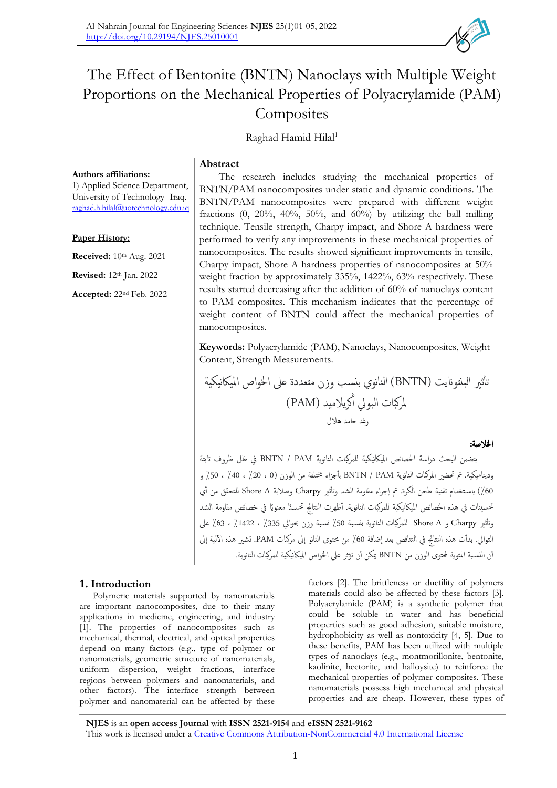# The Effect of Bentonite (BNTN) Nanoclays with Multiple Weight Proportions on the Mechanical Properties of Polyacrylamide (PAM) **Composites**

Raghad Hamid Hilal<sup>1</sup>

## **Abstract**

**Authors affiliations:**

1) Applied Science Department, University of Technology -Iraq. [raghad.h.hilal@uotechnology.edu.iq](mailto:raghad.h.hilal@uotechnology.edu.iq)

#### **Paper History:**

**Received:** 10<sup>th</sup> Aug. 2021 **Revised:** 12th Jan. 2022

**Accepted:** 22nd Feb. 2022

The research includes studying the mechanical properties of BNTN/PAM nanocomposites under static and dynamic conditions. The BNTN/PAM nanocomposites were prepared with different weight fractions  $(0, 20\%, 40\%, 50\%, \text{ and } 60\%)$  by utilizing the ball milling technique. Tensile strength, Charpy impact, and Shore A hardness were performed to verify any improvements in these mechanical properties of nanocomposites. The results showed significant improvements in tensile, Charpy impact, Shore A hardness properties of nanocomposites at 50% weight fraction by approximately 335%, 1422%, 63% respectively. These results started decreasing after the addition of 60% of nanoclays content to PAM composites. This mechanism indicates that the percentage of weight content of BNTN could affect the mechanical properties of nanocomposites.

**Keywords:** Polyacrylamide (PAM), Nanoclays, Nanocomposites, Weight Content, Strength Measurements.

تأ ثري البنتوانيت )BNTN )النانوي بنسب وزن متعددة عىل اخلواص املياكنيكية كريالميد ) ملركبات البويل أ PAM) رغد حامد هالل

اخلالصة:

يتضمن البحث دراسة اخلصائص املياكنيكية للمركبات النانوية PAM / BNTN يف ظل ظروف اثبتة وديناميكية. مت حتضري املركبات النانوية PAM / BNTN بأ جزاء خمتلفة من الوزن )0 ، ٪20 ، ٪40 ، ٪50 و 60٪) باستخدام تقنية طحن الكرة. تم إجراء مقاومة الشد وتأثير Charpy وصلابة Shore A للتحقق من أي تحسينات في هذه الخصائص الميكانيكية للمركبات النانوية. أظهرت النتائج تحسـئا معنويًا في خصائص مقاومة الشد وتأثير Charpy و Shore A للمركبات النانوية بنسبة 50٪ نسبة وزن بحوالي 335٪ ، 1422٪ ، 63٪ على التوالي. بدأت هذه النتائج في التناقص بعد إضافة 60٪ من محتوى النانو إلى مركبات PAM. تشبر هذه الآلية إلى أن النسبة المئوية لمحتوى الوزن من BNTN يمكن أن تؤثر على الحواص الميكانيكية للمركبات النانوية.

#### **1. Introduction**

Polymeric materials supported by nanomaterials are important nanocomposites, due to their many applications in medicine, engineering, and industry [1]. The properties of nanocomposites such as mechanical, thermal, electrical, and optical properties depend on many factors (e.g., type of polymer or nanomaterials, geometric structure of nanomaterials, uniform dispersion, weight fractions, interface regions between polymers and nanomaterials, and other factors). The interface strength between polymer and nanomaterial can be affected by these

factors [2]. The brittleness or ductility of polymers materials could also be affected by these factors [3]. Polyacrylamide (PAM) is a synthetic polymer that could be soluble in water and has beneficial properties such as good adhesion, suitable moisture, hydrophobicity as well as nontoxicity [4, 5]. Due to these benefits, PAM has been utilized with multiple types of nanoclays (e.g., montmorillonite, bentonite, kaolinite, hectorite, and halloysite) to reinforce the mechanical properties of polymer composites. These nanomaterials possess high mechanical and physical properties and are cheap. However, these types of

**NJES** is an **open access Journal** with **ISSN 2521-9154** and **eISSN 2521-9162** This work is licensed under a [Creative Commons Attribution-NonCommercial 4.0 International License](http://creativecommons.org/licenses/by-nc/4.0/)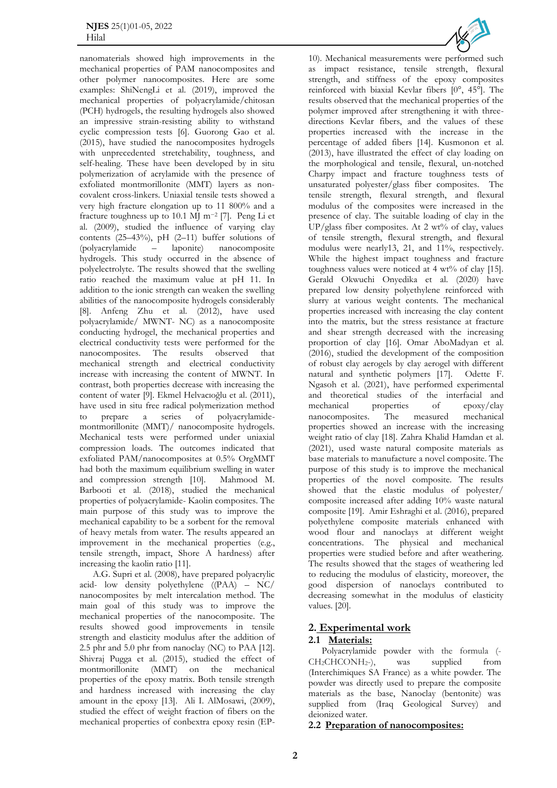nanomaterials showed high improvements in the mechanical properties of PAM nanocomposites and other polymer nanocomposites. Here are some examples: ShiNengLi et al. (2019), improved the mechanical properties of polyacrylamide/chitosan (PCH) hydrogels, the resulting hydrogels also showed an impressive strain-resisting ability to withstand cyclic compression tests [6]. Guorong Gao et al. (2015), have studied the nanocomposites hydrogels with unprecedented stretchability, toughness, and self-healing. These have been developed by in situ polymerization of acrylamide with the presence of exfoliated montmorillonite (MMT) layers as noncovalent cross-linkers. Uniaxial tensile tests showed a very high fracture elongation up to 11 800% and a fracture toughness up to 10.1 MJ m−<sup>2</sup> [7]. Peng Li et al. (2009), studied the influence of varying clay contents  $(25-43%)$ , pH $(2-11)$  buffer solutions of (polyacrylamide – laponite) nanocomposite hydrogels. This study occurred in the absence of polyelectrolyte. The results showed that the swelling ratio reached the maximum value at pH 11. In addition to the ionic strength can weaken the swelling abilities of the nanocomposite hydrogels considerably [8]. Anfeng Zhu et al. (2012), have used polyacrylamide/ MWNT- NC) as a nanocomposite conducting hydrogel, the mechanical properties and electrical conductivity tests were performed for the nanocomposites. The results observed that nanocomposites. The results observed that mechanical strength and electrical conductivity increase with increasing the content of MWNT. In contrast, both properties decrease with increasing the content of water [9]. Ekmel Helvacıoğlu et al. (2011), have used in situ free radical polymerization method<br>to prepare a series of polyacrylamideto prepare a series of montmorillonite (MMT)/ nanocomposite hydrogels. Mechanical tests were performed under uniaxial compression loads. The outcomes indicated that exfoliated PAM/nanocomposites at 0.5% OrgMMT had both the maximum equilibrium swelling in water and compression strength [10]. Mahmood M. Barbooti et al. (2018), studied the mechanical properties of polyacrylamide- Kaolin composites. The main purpose of this study was to improve the mechanical capability to be a sorbent for the removal of heavy metals from water. The results appeared an improvement in the mechanical properties (e.g., tensile strength, impact, Shore A hardness) after increasing the kaolin ratio [11].

A.G. Supri et al. (2008), have prepared polyacrylic acid- low density polyethylene ((PAA) – NC/ nanocomposites by melt intercalation method. The main goal of this study was to improve the mechanical properties of the nanocomposite. The results showed good improvements in tensile strength and elasticity modulus after the addition of 2.5 phr and 5.0 phr from nanoclay (NC) to PAA [12]. Shivraj Pugga et al. (2015), studied the effect of montmorillonite (MMT) on the mechanical properties of the epoxy matrix. Both tensile strength and hardness increased with increasing the clay amount in the epoxy [13]. Ali I. AlMosawi, (2009), studied the effect of weight fraction of fibers on the mechanical properties of conbextra epoxy resin (EP-



10). Mechanical measurements were performed such as impact resistance, tensile strength, flexural strength, and stiffness of the epoxy composites reinforced with biaxial Kevlar fibers [0°, 45°]. The results observed that the mechanical properties of the polymer improved after strengthening it with threedirections Kevlar fibers, and the values of these properties increased with the increase in the percentage of added fibers [14]. Kusmonon et al. (2013), have illustrated the effect of clay loading on the morphological and tensile, flexural, un-notched Charpy impact and fracture toughness tests of unsaturated polyester/glass fiber composites. The tensile strength, flexural strength, and flexural modulus of the composites were increased in the presence of clay. The suitable loading of clay in the UP/glass fiber composites. At 2 wt% of clay, values of tensile strength, flexural strength, and flexural modulus were nearly13, 21, and 11%, respectively. While the highest impact toughness and fracture toughness values were noticed at 4 wt% of clay [15]. Gerald Okwuchi Onyedika et al. (2020) have prepared low density polyethylene reinforced with slurry at various weight contents. The mechanical properties increased with increasing the clay content into the matrix, but the stress resistance at fracture and shear strength decreased with the increasing proportion of clay [16]. Omar AboMadyan et al. (2016), studied the development of the composition of robust clay aerogels by clay aerogel with different natural and synthetic polymers [17]. Odette F. Ngasoh et al. (2021), have performed experimental and theoretical studies of the interfacial and mechanical properties of epoxy/clay<br>nanocomposites. The measured mechanical nanocomposites. The measured mechanical properties showed an increase with the increasing weight ratio of clay [18]. Zahra Khalid Hamdan et al. (2021), used waste natural composite materials as base materials to manufacture a novel composite. The purpose of this study is to improve the mechanical properties of the novel composite. The results showed that the elastic modulus of polyester/ composite increased after adding 10% waste natural composite [19]. Amir Eshraghi et al. (2016), prepared polyethylene composite materials enhanced with wood flour and nanoclays at different weight concentrations. The physical and mechanical properties were studied before and after weathering. The results showed that the stages of weathering led to reducing the modulus of elasticity, moreover, the good dispersion of nanoclays contributed to decreasing somewhat in the modulus of elasticity values. [20].

## **2. Experimental work**

## **2.1 Materials:**

Polyacrylamide powder with the formula (-  $CH_2CHCONH_2$ -), was supplied from (Interchimiques SA France) as a white powder. The powder was directly used to prepare the composite materials as the base, Nanoclay (bentonite) was supplied from (Iraq Geological Survey) and deionized water.

**2.2 Preparation of nanocomposites:**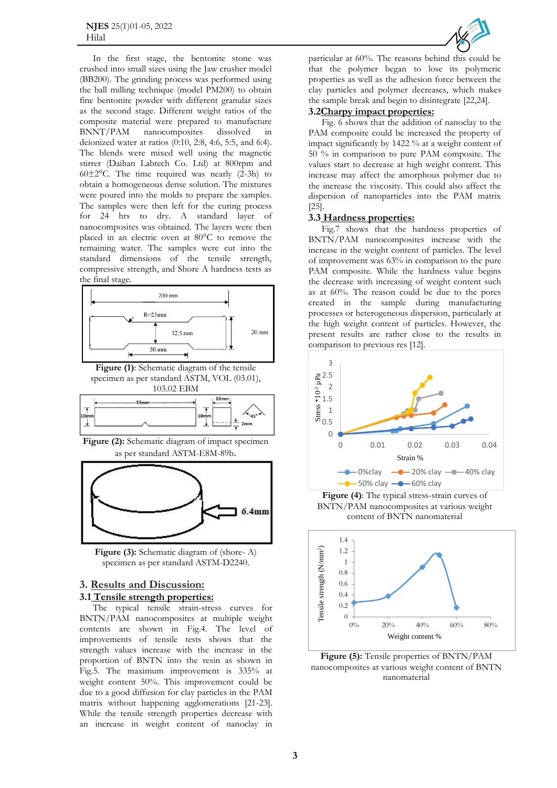In the first stage, the bentonite stone was crushed into small sizes using the Jaw crusher model (BB200). The grinding process was performed using the ball milling technique (model PM200) to obtain fine bentonite powder with different granular sizes as the second stage. Different weight ratios of the composite material were prepared to manufacture BNNT/PAM nanocomposites dissolved in deionized water at ratios (0:10, 2:8, 4:6, 5:5, and 6:4). The blends were mixed well using the magnetic stirrer (Daihan Labtech Co. Ltd) at 800rpm and 60 $\pm$ 2°C. The time required was nearly (2-3h) to obtain a homogeneous dense solution. The mixtures were poured into the molds to prepare the samples. The samples were then left for the curing process for 24 hrs to dry. A standard layer of nanocomposites was obtained. The layers were then placed in an electric oven at 80°C to remove the remaining water. The samples were cut into the standard dimensions of the tensile strength, compressive strength, and Shore A hardness tests as the final stage.



**Figure (1)**: Schematic diagram of the tensile specimen as per standard ASTM, VOL (03.01), 103.02 EBM



**Figure (2):** Schematic diagram of impact specimen as per standard ASTM-E8M-89b.



**Figure (3):** Schematic diagram of (shore- A) specimen as per standard ASTM-D2240.

#### **3. Results and Discussion: 3.1 Tensile strength properties:**

The typical tensile strain-stress curves for BNTN/PAM nanocomposites at multiple weight contents are shown in Fig.4. The level of improvements of tensile tests shows that the strength values increase with the increase in the proportion of BNTN into the resin as shown in Fig.5. The maximum improvement is 335% at weight content 50%. This improvement could be due to a good diffusion for clay particles in the PAM matrix without happening agglomerations [21-23]. While the tensile strength properties decrease with an increase in weight content of nanoclay in



particular at 60%. The reasons behind this could be that the polymer began to lose its polymeric properties as well as the adhesion force between the clay particles and polymer decreases, which makes the sample break and begin to disintegrate [22,24].

#### **3.2Charpy impact properties:**

Fig. 6 shows that the addition of nanoclay to the PAM composite could be increased the property of impact significantly by 1422 % at a weight content of 50 % in comparison to pure PAM composite. The values start to decrease at high weight content. This increase may affect the amorphous polymer due to the increase the viscosity. This could also affect the dispersion of nanoparticles into the PAM matrix [25].

#### **3.3 Hardness properties:**

Fig.7 shows that the hardness properties of BNTN/PAM nanocomposites increase with the increase in the weight content of particles. The level of improvement was 63% in comparison to the pure PAM composite. While the hardness value begins the decrease with increasing of weight content such as at 60%. The reason could be due to the pores created in the sample during manufacturing processes or heterogeneous dispersion, particularly at the high weight content of particles. However, the present results are rather close to the results in comparison to previous res [12].



**Figure (4)**: The typical stress-strain curves of BNTN/PAM nanocomposites at various weight content of BNTN nanomaterial



**Figure (5):** Tensile properties of BNTN/PAM nanocomposites at various weight content of BNTN nanomaterial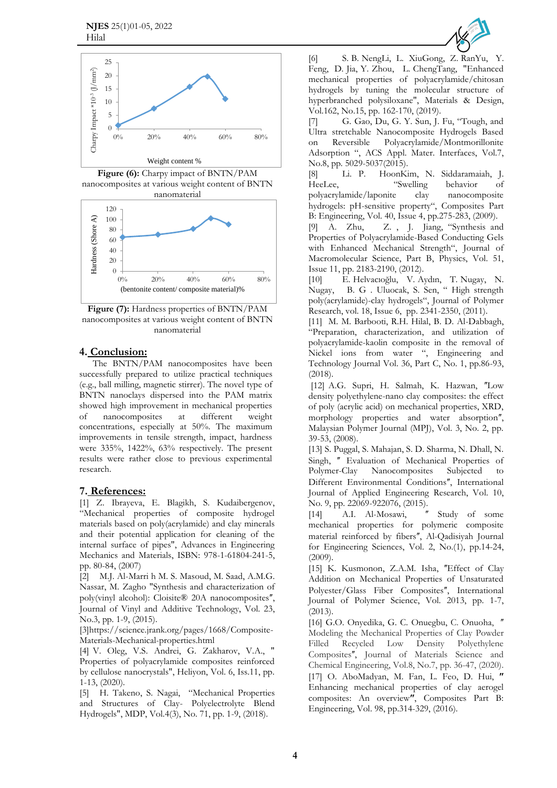

**Figure (6):** Charpy impact of BNTN/PAM nanocomposites at various weight content of BNTN nanomaterial



**Figure (7):** Hardness properties of BNTN/PAM nanocomposites at various weight content of BNTN nanomaterial

## **4. Conclusion:**

The BNTN/PAM nanocomposites have been successfully prepared to utilize practical techniques (e.g., ball milling, magnetic stirrer). The novel type of BNTN nanoclays dispersed into the PAM matrix showed high improvement in mechanical properties of nanocomposites at different weight concentrations, especially at 50%. The maximum improvements in tensile strength, impact, hardness were 335%, 1422%, 63% respectively. The present results were rather close to previous experimental research.

# **7. References:**

[1] Z. Ibrayeva, E. Blagikh, S. Kudaibergenov, "Mechanical properties of composite hydrogel materials based on poly(acrylamide) and clay minerals and their potential application for cleaning of the internal surface of pipes", Advances in Engineering Mechanics and Materials, ISBN: 978-1-61804-241-5, pp. 80-84, (2007)

[2] M.J. Al-Marri h M. S. Masoud, M. Saad, [A.M.G.](https://www.researchgate.net/scientific-contributions/AMG-Nassar-2079527274)  Nassar, [M.](https://www.researchgate.net/scientific-contributions/AMG-Nassar-2079527274) [Zagho](https://www.researchgate.net/scientific-contributions/AMG-Nassar-2079527274) "Synthesis and characterization of poly(vinyl alcohol): Cloisite® 20A nanocomposites", [Journal](https://www.researchgate.net/journal/Journal-of-Vinyl-and-Additive-Technology-1548-0585) [of](https://www.researchgate.net/journal/Journal-of-Vinyl-and-Additive-Technology-1548-0585) [Vinyl](https://www.researchgate.net/journal/Journal-of-Vinyl-and-Additive-Technology-1548-0585) [and](https://www.researchgate.net/journal/Journal-of-Vinyl-and-Additive-Technology-1548-0585) [Additive](https://www.researchgate.net/journal/Journal-of-Vinyl-and-Additive-Technology-1548-0585) [Technology,](https://www.researchgate.net/journal/Journal-of-Vinyl-and-Additive-Technology-1548-0585) Vol. 23, No.3, pp. 1-9, (2015).

[3]https://science.jrank.org/pages/1668/Composite-Materials-Mechanical-properties.html

[4] V. Oleg, V.S. Andrei, G. Zakharov, V.A., " Properties of polyacrylamide composites reinforced by cellulose nanocrystals", Heliyon, Vol. 6, Iss.11, pp. 1-13, (2020).

[5] H. Takeno, [S.](https://www.ncbi.nlm.nih.gov/pubmed/?term=Nagai%20S%5BAuthor%5D&cauthor=true&cauthor_uid=30674847) Nagai, ["](https://www.ncbi.nlm.nih.gov/pubmed/?term=Nagai%20S%5BAuthor%5D&cauthor=true&cauthor_uid=30674847)Mechanical Properties and Structures of Clay- Polyelectrolyte Blend Hydrogels", MDP, Vol.4(3), No. 71, pp. 1-9, (2018).



[6] S. B. [NengLi,](https://www.sciencedirect.com/science/article/pii/S0264127518308517#!) [L. XiuGong,](https://www.sciencedirect.com/science/article/pii/S0264127518308517#!) [Z.](https://www.sciencedirect.com/science/article/pii/S0264127518308517#!) [RanYu,](https://www.sciencedirect.com/science/article/pii/S0264127518308517#!) Y. [Feng,](https://www.sciencedirect.com/science/article/pii/S0264127518308517#!) D. [Jia,](https://www.sciencedirect.com/author/57204315932/dechang-jia) Y. [Zhou,](https://www.sciencedirect.com/science/article/pii/S0264127518308517#!) L. [ChengTang,](https://www.sciencedirect.com/science/article/pii/S0264127518308517#!) "Enhanced mechanical properties of polyacrylamide/chitosan hydrogels by tuning the molecular structure of hyperbranched polysiloxane", [Materials & Design,](https://www.sciencedirect.com/science/journal/02641275) [Vol.162,](https://www.sciencedirect.com/science/journal/02641275/162/supp/C) No.15, pp. 162-170, (2019).

[7] G. Gao, Du, G. Y. Sun, J. Fu, "Tough, and Ultra stretchable Nanocomposite Hydrogels Based on Reversible Polyacrylamide/Montmorillonite Adsorption ", ACS Appl. Mater. Interfaces, Vol.7, No.8, pp. 5029-5037(2015).

[8] [Li.](https://www.sciencedirect.com/science/article/abs/pii/S1359836809000183#!) P. [HoonKim,](https://www.sciencedirect.com/science/article/abs/pii/S1359836809000183#!) N. [Siddaramaiah,](https://www.sciencedirect.com/science/article/abs/pii/S1359836809000183#!) J. [HeeLee,](https://www.sciencedirect.com/science/article/abs/pii/S1359836809000183#!) "Swelling behavior of polyacrylamide/laponite clay nanocomposite hydrogels: pH-sensitive property", [Composites Part](https://www.sciencedirect.com/science/journal/13598368)  [B: Engineering,](https://www.sciencedirect.com/science/journal/13598368) [Vol. 40, Issue 4,](https://www.sciencedirect.com/science/journal/13598368/40/4) pp.275-283, (2009).

[9] [A. Zhu,](https://www.tandfonline.com/toc/lmsb20/current) Z. [,](https://www.tandfonline.com/toc/lmsb20/current) J. [Jiang,](https://www.tandfonline.com/toc/lmsb20/current) ["](https://www.tandfonline.com/toc/lmsb20/current)[Synthesis and](https://www.tandfonline.com/toc/lmsb20/current)  [Properties of Polyacrylamide-Based Conducting Gels](https://www.tandfonline.com/toc/lmsb20/current)  [with Enhanced Mechanical Strengt](https://www.tandfonline.com/toc/lmsb20/current)h", Journal of [Macromolecular Science, Part B,](https://www.tandfonline.com/toc/lmsb20/current) Physics, Vol. 5[1,](https://www.tandfonline.com/toc/lmsb20/51/11) [Issue 11,](https://www.tandfonline.com/toc/lmsb20/51/11) pp. 2183-2190, (2012).

[10] E. [Helvacıoğlu](https://link.springer.com/article/10.1007/s10965-011-9647-x#auth-Ekmel-Helvac_o_lu)[,](https://link.springer.com/article/10.1007/s10965-011-9647-x#auth-Ekmel-Helvac_o_lu)V. [Aydın](https://link.springer.com/article/10.1007/s10965-011-9647-x#auth-Volkan-Ayd_n)[,](https://link.springer.com/article/10.1007/s10965-011-9647-x#auth-Turgut-Nugay) T. [Nugay,](https://link.springer.com/article/10.1007/s10965-011-9647-x#auth-Turgut-Nugay)N. [Nugay,](https://link.springer.com/article/10.1007/s10965-011-9647-x#auth-Nihan-Nugay) B. G . [Uluocak,](https://link.springer.com/article/10.1007/s10965-011-9647-x#auth-Bilge_G_-Uluocak) S. Sen, " High strength poly(acrylamide)-clay hydrogels", [Journal of Polymer](https://link.springer.com/journal/10965)  [Research,](https://link.springer.com/journal/10965) vol. 18, Issue 6, pp. 2341-2350, (2011).

[11] M. M. Barbooti, R.H. Hilal, B. D. Al-Dabbagh, "Preparation, characterization, and utilization of polyacrylamide-kaolin composite in the removal of Nickel ions from water ", Engineering and Technology Journal Vol. 36, Part C, No. 1, pp.86-93, (2018).

[12] A.G. Supri, H. Salmah, K. Hazwan, "Low density polyethylene-nano clay composites: the effect of poly (acrylic acid) on mechanical properties, XRD, morphology properties and water absorption", Malaysian Polymer Journal (MPJ), Vol. 3, No. 2, pp. 39-53, (2008).

[13] S. Puggal, S. Mahajan, S. D. Sharma, N. Dhall, N. Singh, " Evaluation of Mechanical Properties of Polymer-Clay Nanocomposites Subjected to Different Environmental Conditions", International Journal of Applied Engineering Research, Vol. 10, No. 9, pp. 22069-922076, (2015).

[14] A.I. [Al-Mosawi,](https://www.researchgate.net/profile/Ali-Al-Mosawi) "Study of some mechanical properties for polymeric composite material reinforced by fibers", [Al-Qadisiyah](https://www.researchgate.net/journal/Al-Qadisiyah-Journal-for-Engineering-Sciences-1998-4456) [Journal](https://www.researchgate.net/journal/Al-Qadisiyah-Journal-for-Engineering-Sciences-1998-4456) [for](https://www.researchgate.net/journal/Al-Qadisiyah-Journal-for-Engineering-Sciences-1998-4456) [Engineering](https://www.researchgate.net/journal/Al-Qadisiyah-Journal-for-Engineering-Sciences-1998-4456) [Sciences,](https://www.researchgate.net/journal/Al-Qadisiyah-Journal-for-Engineering-Sciences-1998-4456) Vol. 2, No.(1), pp.14-24, (2009).

[15] K. Kusmonon, Z.A.M. Isha, "Effect of Clay Addition on Mechanical Properties of Unsaturated Polyester/Glass Fiber Composites", [International](https://www.researchgate.net/journal/International-Journal-of-Polymer-Science-1687-9430) [Journal](https://www.researchgate.net/journal/International-Journal-of-Polymer-Science-1687-9430) [of](https://www.researchgate.net/journal/International-Journal-of-Polymer-Science-1687-9430) [Polymer](https://www.researchgate.net/journal/International-Journal-of-Polymer-Science-1687-9430) [Science,](https://www.researchgate.net/journal/International-Journal-of-Polymer-Science-1687-9430) Vol. 2013, pp. 1-7, (2013).

[16] G.O. [Onyedika,](https://www.scirp.org/journal/articles.aspx?searchcode=Gerald+Okwuchi++Onyedika&searchfield=authors&page=1) G. C. [Onuegbu,](https://www.scirp.org/journal/articles.aspx?searchcode=Genevive+Chinyere++Onuegbu&searchfield=authors&page=1) C. [Onuoha,](https://www.scirp.org/journal/articles.aspx?searchcode=Chukwudike++Onuoha&searchfield=authors&page=1) " Modeling the Mechanical Properties of Clay Powder Filled Recycled Low Density Polyethylene Composites", Journal of Materials Science and Chemical Engineering, Vol.8, No.7, pp. 36-47, (2020). [17] O. [AboMadyan,](https://www.sciencedirect.com/science/article/abs/pii/S1359836816304826#!) [M. Fan,](https://www.sciencedirect.com/science/article/abs/pii/S1359836816304826#!) L. [Feo,](https://www.sciencedirect.com/science/article/abs/pii/S1359836816304826#!) D. Hui, " Enhancing mechanical properties of clay aerogel composites: An overview"[,](https://www.sciencedirect.com/science/journal/13598368) Composites Part B: [Engineering,](https://www.sciencedirect.com/science/journal/13598368) [Vol. 98,](https://www.sciencedirect.com/science/journal/13598368/98/supp/C) pp.314-329, (2016).